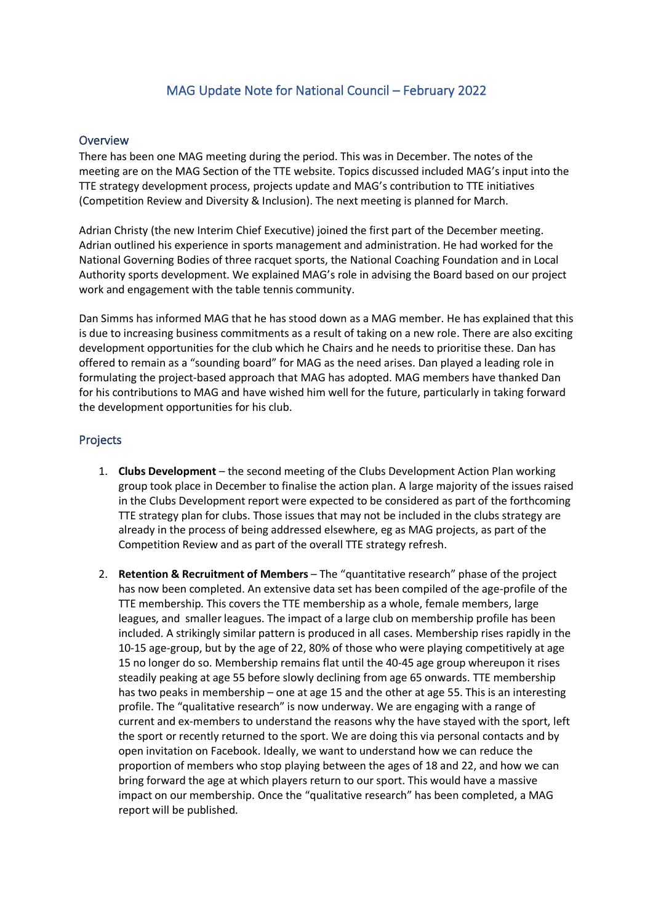## MAG Update Note for National Council – February 2022

## **Overview**

There has been one MAG meeting during the period. This was in December. The notes of the meeting are on the MAG Section of the TTE website. Topics discussed included MAG's input into the TTE strategy development process, projects update and MAG's contribution to TTE initiatives (Competition Review and Diversity & Inclusion). The next meeting is planned for March.

Adrian Christy (the new Interim Chief Executive) joined the first part of the December meeting. Adrian outlined his experience in sports management and administration. He had worked for the National Governing Bodies of three racquet sports, the National Coaching Foundation and in Local Authority sports development. We explained MAG's role in advising the Board based on our project work and engagement with the table tennis community.

Dan Simms has informed MAG that he has stood down as a MAG member. He has explained that this is due to increasing business commitments as a result of taking on a new role. There are also exciting development opportunities for the club which he Chairs and he needs to prioritise these. Dan has offered to remain as a "sounding board" for MAG as the need arises. Dan played a leading role in formulating the project-based approach that MAG has adopted. MAG members have thanked Dan for his contributions to MAG and have wished him well for the future, particularly in taking forward the development opportunities for his club.

## Projects

- 1. **Clubs Development** the second meeting of the Clubs Development Action Plan working group took place in December to finalise the action plan. A large majority of the issues raised in the Clubs Development report were expected to be considered as part of the forthcoming TTE strategy plan for clubs. Those issues that may not be included in the clubs strategy are already in the process of being addressed elsewhere, eg as MAG projects, as part of the Competition Review and as part of the overall TTE strategy refresh.
- 2. **Retention & Recruitment of Members** The "quantitative research" phase of the project has now been completed. An extensive data set has been compiled of the age-profile of the TTE membership. This covers the TTE membership as a whole, female members, large leagues, and smaller leagues. The impact of a large club on membership profile has been included. A strikingly similar pattern is produced in all cases. Membership rises rapidly in the 10-15 age-group, but by the age of 22, 80% of those who were playing competitively at age 15 no longer do so. Membership remains flat until the 40-45 age group whereupon it rises steadily peaking at age 55 before slowly declining from age 65 onwards. TTE membership has two peaks in membership – one at age 15 and the other at age 55. This is an interesting profile. The "qualitative research" is now underway. We are engaging with a range of current and ex-members to understand the reasons why the have stayed with the sport, left the sport or recently returned to the sport. We are doing this via personal contacts and by open invitation on Facebook. Ideally, we want to understand how we can reduce the proportion of members who stop playing between the ages of 18 and 22, and how we can bring forward the age at which players return to our sport. This would have a massive impact on our membership. Once the "qualitative research" has been completed, a MAG report will be published.